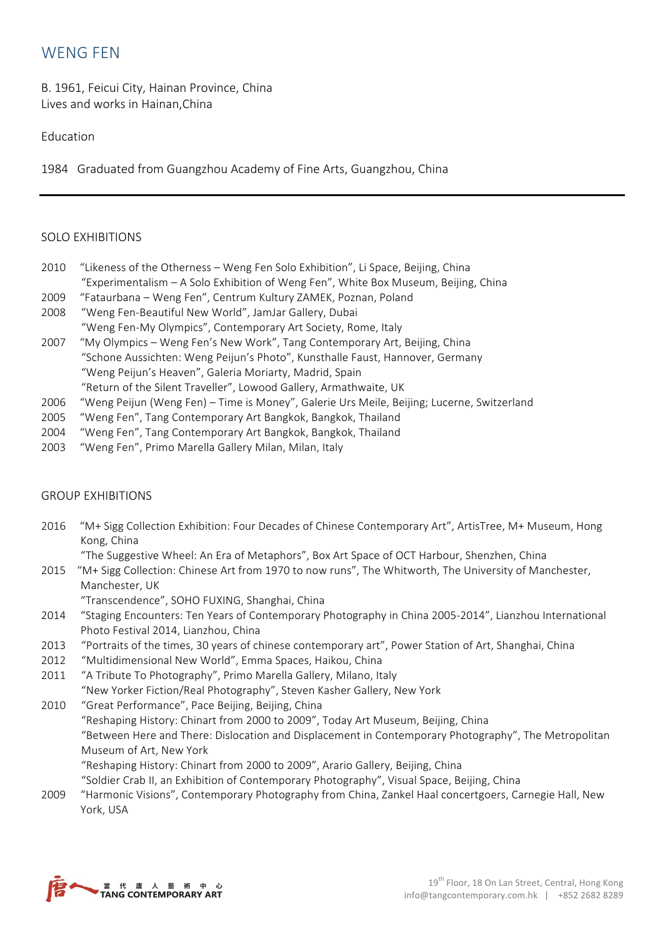## WENG FEN

B. 1961, Feicui City, Hainan Province, China Lives and works in Hainan,China

## Education

1984 Graduated from Guangzhou Academy of Fine Arts, Guangzhou, China

## SOLO EXHIBITIONS

- 2010 "Likeness of the Otherness Weng Fen Solo Exhibition", Li Space, Beijing, China "Experimentalism – A Solo Exhibition of Weng Fen", White Box Museum, Beijing, China
- 2009 "Fataurbana Weng Fen", Centrum Kultury ZAMEK, Poznan, Poland
- 2008 "Weng Fen-Beautiful New World", JamJar Gallery, Dubai "Weng Fen-My Olympics", Contemporary Art Society, Rome, Italy
- 2007 "My Olympics Weng Fen's New Work", Tang Contemporary Art, Beijing, China "Schone Aussichten: Weng Peijun's Photo", Kunsthalle Faust, Hannover, Germany "Weng Peijun's Heaven", Galeria Moriarty, Madrid, Spain
	- "Return of the Silent Traveller", Lowood Gallery, Armathwaite, UK
- 2006 "Weng Peijun (Weng Fen) Time is Money", Galerie Urs Meile, Beijing; Lucerne, Switzerland
- 2005 "Weng Fen", Tang Contemporary Art Bangkok, Bangkok, Thailand
- 2004 "Weng Fen", Tang Contemporary Art Bangkok, Bangkok, Thailand
- 2003 "Weng Fen", Primo Marella Gallery Milan, Milan, Italy

## GROUP EXHIBITIONS

2016 "M+ Sigg Collection Exhibition: Four Decades of Chinese Contemporary Art", ArtisTree, M+ Museum, Hong Kong, China

"The Suggestive Wheel: An Era of Metaphors", Box Art Space of OCT Harbour, Shenzhen, China

- 2015 "M+ Sigg Collection: Chinese Art from 1970 to now runs", The Whitworth, The University of Manchester, Manchester, UK
	- "Transcendence", SOHO FUXING, Shanghai, China
- 2014 "Staging Encounters: Ten Years of Contemporary Photography in China 2005-2014", Lianzhou International Photo Festival 2014, Lianzhou, China
- 2013 "Portraits of the times, 30 years of chinese contemporary art", Power Station of Art, Shanghai, China
- 2012 "Multidimensional New World", Emma Spaces, Haikou, China
- 2011 "A Tribute To Photography", Primo Marella Gallery, Milano, Italy "New Yorker Fiction/Real Photography", Steven Kasher Gallery, New York
- 2010 "Great Performance", Pace Beijing, Beijing, China "Reshaping History: Chinart from 2000 to 2009", Today Art Museum, Beijing, China "Between Here and There: Dislocation and Displacement in Contemporary Photography", The Metropolitan Museum of Art, New York "Reshaping History: Chinart from 2000 to 2009", Arario Gallery, Beijing, China "Soldier Crab II, an Exhibition of Contemporary Photography", Visual Space, Beijing, China
- 2009 "Harmonic Visions", Contemporary Photography from China, Zankel Haal concertgoers, Carnegie Hall, New York, USA

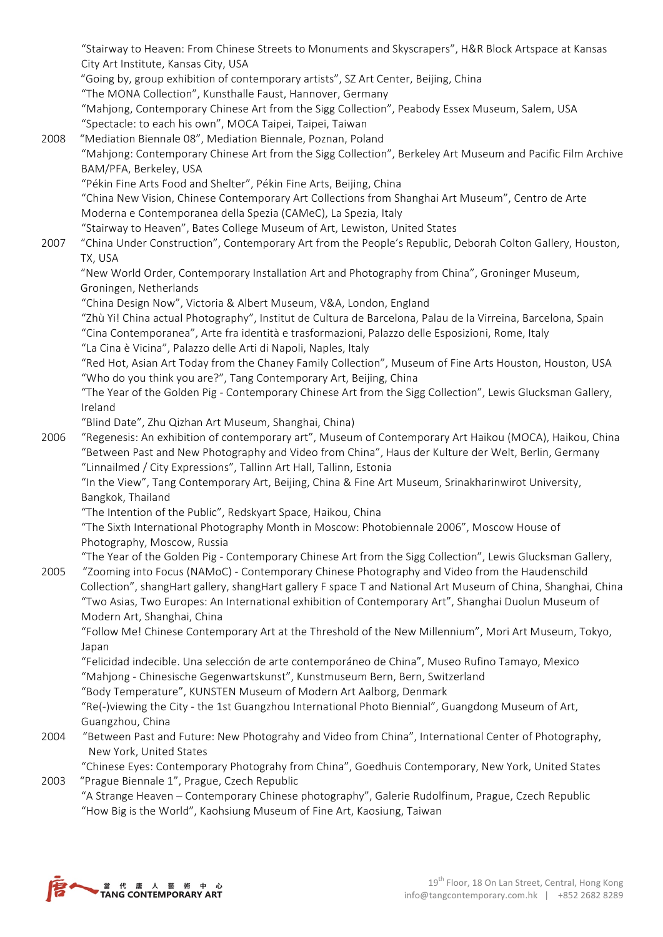"Stairway to Heaven: From Chinese Streets to Monuments and Skyscrapers", H&R Block Artspace at Kansas City Art Institute, Kansas City, USA

"Going by, group exhibition of contemporary artists", SZ Art Center, Beijing, China

"The MONA Collection", Kunsthalle Faust, Hannover, Germany

"Mahjong, Contemporary Chinese Art from the Sigg Collection", Peabody Essex Museum, Salem, USA "Spectacle: to each his own", MOCA Taipei, Taipei, Taiwan

2008 "Mediation Biennale 08", Mediation Biennale, Poznan, Poland "Mahjong: Contemporary Chinese Art from the Sigg Collection", Berkeley Art Museum and Pacific Film Archive BAM/PFA, Berkeley, USA

"Pékin Fine Arts Food and Shelter", Pékin Fine Arts, Beijing, China

"China New Vision, Chinese Contemporary Art Collections from Shanghai Art Museum", Centro de Arte Moderna e Contemporanea della Spezia (CAMeC), La Spezia, Italy

"Stairway to Heaven", Bates College Museum of Art, Lewiston, United States

2007 "China Under Construction", Contemporary Art from the People's Republic, Deborah Colton Gallery, Houston, TX, USA

"New World Order, Contemporary Installation Art and Photography from China", Groninger Museum, Groningen, Netherlands

"China Design Now", Victoria & Albert Museum, V&A, London, England

"Zhù Yi! China actual Photography", Institut de Cultura de Barcelona, Palau de la Virreina, Barcelona, Spain "Cina Contemporanea", Arte fra identità e trasformazioni, Palazzo delle Esposizioni, Rome, Italy

"La Cina è Vicina", Palazzo delle Arti di Napoli, Naples, Italy

"Red Hot, Asian Art Today from the Chaney Family Collection", Museum of Fine Arts Houston, Houston, USA "Who do you think you are?", Tang Contemporary Art, Beijing, China

"The Year of the Golden Pig - Contemporary Chinese Art from the Sigg Collection", Lewis Glucksman Gallery, Ireland

"Blind Date", Zhu Qizhan Art Museum, Shanghai, China)

2006 "Regenesis: An exhibition of contemporary art", Museum of Contemporary Art Haikou (MOCA), Haikou, China "Between Past and New Photography and Video from China", Haus der Kulture der Welt, Berlin, Germany "Linnailmed / City Expressions", Tallinn Art Hall, Tallinn, Estonia

"In the View", Tang Contemporary Art, Beijing, China & Fine Art Museum, Srinakharinwirot University, Bangkok, Thailand

"The Intention of the Public", Redskyart Space, Haikou, China

"The Sixth International Photography Month in Moscow: Photobiennale 2006", Moscow House of Photography, Moscow, Russia

"The Year of the Golden Pig - Contemporary Chinese Art from the Sigg Collection", Lewis Glucksman Gallery,

2005 "Zooming into Focus (NAMoC) - Contemporary Chinese Photography and Video from the Haudenschild Collection", shangHart gallery, shangHart gallery F space T and National Art Museum of China, Shanghai, China "Two Asias, Two Europes: An International exhibition of Contemporary Art", Shanghai Duolun Museum of Modern Art, Shanghai, China

"Follow Me! Chinese Contemporary Art at the Threshold of the New Millennium", Mori Art Museum, Tokyo, Japan

"Felicidad indecible. Una selección de arte contemporáneo de China", Museo Rufino Tamayo, Mexico "Mahjong - Chinesische Gegenwartskunst", Kunstmuseum Bern, Bern, Switzerland

"Body Temperature", KUNSTEN Museum of Modern Art Aalborg, Denmark

"Re(-)viewing the City - the 1st Guangzhou International Photo Biennial", Guangdong Museum of Art, Guangzhou, China

2004 "Between Past and Future: New Photograhy and Video from China", International Center of Photography, New York, United States

"Chinese Eyes: Contemporary Photograhy from China", Goedhuis Contemporary, New York, United States 2003 "Prague Biennale 1", Prague, Czech Republic

"A Strange Heaven – Contemporary Chinese photography", Galerie Rudolfinum, Prague, Czech Republic "How Big is the World", Kaohsiung Museum of Fine Art, Kaosiung, Taiwan